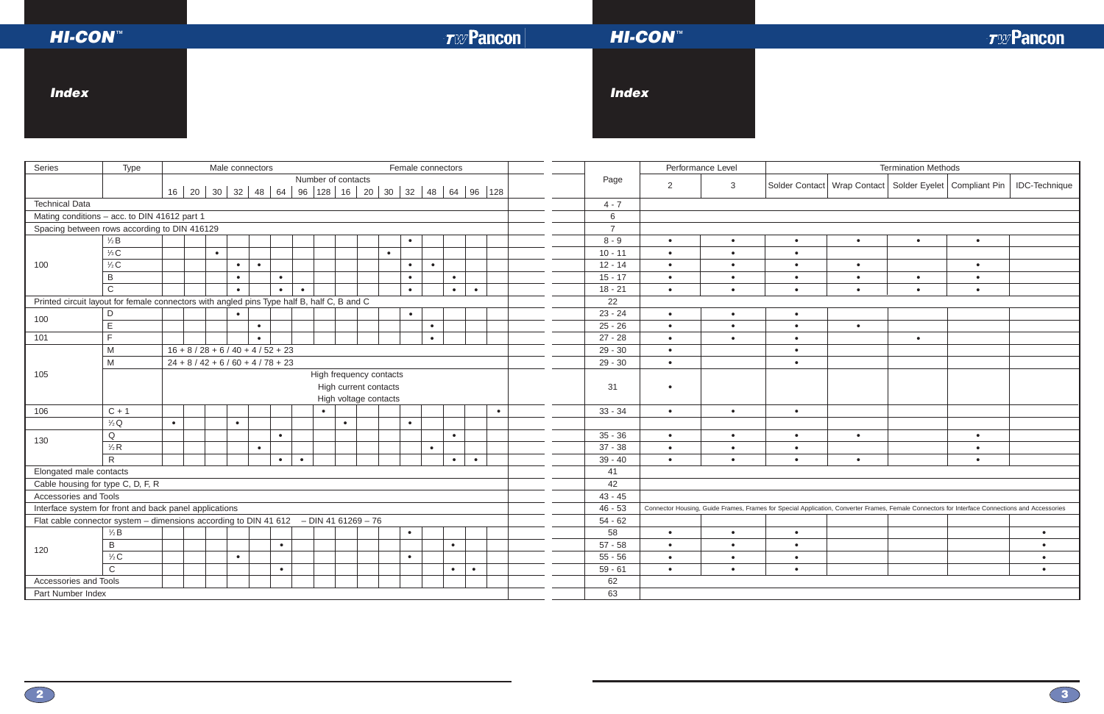| <b>HI-CON<sup>®</sup></b>                              |                                                                                            |                                                                           |  |           |                 |           |                     |           |                    |    |           |                                                                                                                                                |                   |           | <b>TWPancon</b>                                                                 |                | <b>HI-CON<sup>®</sup></b> |                   |           |           |                            |                                                               | <b>TWPancon</b>      |
|--------------------------------------------------------|--------------------------------------------------------------------------------------------|---------------------------------------------------------------------------|--|-----------|-----------------|-----------|---------------------|-----------|--------------------|----|-----------|------------------------------------------------------------------------------------------------------------------------------------------------|-------------------|-----------|---------------------------------------------------------------------------------|----------------|---------------------------|-------------------|-----------|-----------|----------------------------|---------------------------------------------------------------|----------------------|
| <b>Index</b>                                           |                                                                                            |                                                                           |  |           |                 |           |                     |           |                    |    |           |                                                                                                                                                |                   |           |                                                                                 | <b>Index</b>   |                           |                   |           |           |                            |                                                               |                      |
| Series                                                 | Type                                                                                       |                                                                           |  |           | Male connectors |           |                     |           |                    |    |           |                                                                                                                                                | Female connectors |           |                                                                                 |                |                           | Performance Level |           |           | <b>Termination Methods</b> |                                                               |                      |
|                                                        |                                                                                            |                                                                           |  |           |                 |           |                     |           | Number of contacts |    |           |                                                                                                                                                |                   |           | 16   20   30   32   48   64   96   128   16   20   30   32   48   64   96   128 | Page           | 2                         | $\mathbf{3}$      |           |           |                            | Solder Contact   Wrap Contact   Solder Eyelet   Compliant Pin | <b>IDC-Technique</b> |
| <b>Technical Data</b>                                  |                                                                                            |                                                                           |  |           |                 |           |                     |           |                    |    |           |                                                                                                                                                |                   |           |                                                                                 | $4 - 7$        |                           |                   |           |           |                            |                                                               |                      |
|                                                        | Mating conditions - acc. to DIN 41612 part 1                                               |                                                                           |  |           |                 |           |                     |           |                    |    |           |                                                                                                                                                |                   |           |                                                                                 | 6              |                           |                   |           |           |                            |                                                               |                      |
|                                                        | Spacing between rows according to DIN 416129                                               |                                                                           |  |           |                 |           |                     |           |                    |    |           |                                                                                                                                                |                   |           |                                                                                 | $\overline{7}$ |                           |                   |           |           |                            |                                                               |                      |
|                                                        | $\frac{1}{2}B$                                                                             |                                                                           |  |           |                 |           |                     |           |                    |    |           | $\bullet$                                                                                                                                      |                   |           |                                                                                 | $8 - 9$        | $\bullet$                 | $\bullet$         | $\bullet$ | $\bullet$ | $\bullet$                  | $\bullet$                                                     |                      |
|                                                        | $\frac{1}{3}C$                                                                             |                                                                           |  | $\bullet$ |                 |           |                     |           |                    |    | $\bullet$ |                                                                                                                                                |                   |           |                                                                                 | $10 - 11$      | $\bullet$                 | $\bullet$         | $\bullet$ |           |                            |                                                               |                      |
| 100                                                    | $\frac{1}{2}C$                                                                             |                                                                           |  |           | $\bullet$       | $\bullet$ |                     |           |                    |    |           | $\bullet$                                                                                                                                      | $\bullet$         |           |                                                                                 | $12 - 14$      | $\bullet$                 | $\bullet$         | $\bullet$ | $\bullet$ |                            | $\bullet$                                                     |                      |
|                                                        | $\, {\sf B}$                                                                               |                                                                           |  |           |                 |           | $\bullet$           |           |                    |    |           | $\bullet$                                                                                                                                      |                   | $\bullet$ |                                                                                 | $15 - 17$      | $\bullet$                 | $\bullet$         | $\bullet$ | $\bullet$ | $\bullet$                  | $\bullet$                                                     |                      |
|                                                        | $\mathsf{C}$                                                                               |                                                                           |  |           | $\bullet$       |           | $\bullet$           | $\bullet$ |                    |    |           | $\bullet$                                                                                                                                      |                   | $\bullet$ | $\bullet$                                                                       | $18 - 21$      | $\bullet$                 | $\bullet$         | $\bullet$ | $\bullet$ | $\bullet$                  | $\bullet$                                                     |                      |
|                                                        | Printed circuit layout for female connectors with angled pins Type half B, half C, B and C |                                                                           |  |           |                 |           |                     |           |                    |    |           |                                                                                                                                                |                   |           |                                                                                 | 22             |                           |                   |           |           |                            |                                                               |                      |
| 100                                                    | D                                                                                          |                                                                           |  |           |                 |           |                     |           |                    |    |           | $\bullet$                                                                                                                                      |                   |           |                                                                                 | $23 - 24$      | $\bullet$                 | $\bullet$         | $\bullet$ |           |                            |                                                               |                      |
|                                                        | E                                                                                          |                                                                           |  |           |                 | $\bullet$ |                     |           |                    |    |           |                                                                                                                                                | $\bullet$         |           |                                                                                 | $25 - 26$      | $\bullet$                 | $\bullet$         | $\bullet$ | $\bullet$ |                            |                                                               |                      |
| 101                                                    | $\blacksquare$                                                                             |                                                                           |  |           |                 | $\bullet$ |                     |           |                    |    |           |                                                                                                                                                | $\bullet$         |           |                                                                                 | $27 - 28$      | $\bullet$                 | $\bullet$         | $\bullet$ |           | $\bullet$                  |                                                               |                      |
|                                                        | M                                                                                          | $16 + 8 / 28 + 6 / 40 + 4 / 52 + 23$                                      |  |           |                 |           |                     |           |                    |    |           |                                                                                                                                                |                   |           |                                                                                 | $29 - 30$      | $\bullet$                 |                   | $\bullet$ |           |                            |                                                               |                      |
|                                                        | M                                                                                          | $24 + 8 / 42 + 6 / 60 + 4 / 78 + 23$                                      |  |           |                 |           |                     |           |                    |    |           |                                                                                                                                                |                   |           |                                                                                 | $29 - 30$      | $\bullet$                 |                   | $\bullet$ |           |                            |                                                               |                      |
| 105                                                    |                                                                                            | High frequency contacts<br>High current contacts<br>High voltage contacts |  |           |                 |           |                     |           |                    |    |           |                                                                                                                                                |                   |           |                                                                                 | 31             | $\bullet$                 |                   |           |           |                            |                                                               |                      |
| 106                                                    | $C + 1$                                                                                    |                                                                           |  |           |                 |           |                     |           | $\bullet$          |    |           |                                                                                                                                                |                   |           | $\bullet$                                                                       | $33 - 34$      | $\bullet$                 | $\bullet$         | $\bullet$ |           |                            |                                                               |                      |
|                                                        | $\frac{1}{2}Q$                                                                             | $\bullet$                                                                 |  |           | $\bullet$       |           |                     |           | $\bullet$          |    |           | $\bullet$                                                                                                                                      |                   |           |                                                                                 |                |                           |                   |           |           |                            |                                                               |                      |
| 130                                                    | $\mathsf Q$                                                                                |                                                                           |  |           |                 |           | $\bullet$           |           |                    |    |           |                                                                                                                                                |                   |           |                                                                                 | $35 - 36$      | $\bullet$                 |                   | $\bullet$ |           |                            |                                                               |                      |
|                                                        | $\frac{1}{2}R$                                                                             |                                                                           |  |           |                 | $\bullet$ |                     |           |                    |    |           |                                                                                                                                                | $\bullet$         |           |                                                                                 | $37 - 38$      | $\bullet$                 | $\bullet$         | $\bullet$ |           |                            | $\bullet$                                                     |                      |
|                                                        | $\mathsf{R}$                                                                               |                                                                           |  |           |                 |           | $\bullet$ $\bullet$ |           |                    |    |           |                                                                                                                                                |                   | $\bullet$ | $\bullet$                                                                       | $39 - 40$      | $\bullet$                 | $\bullet$         | $\bullet$ | $\bullet$ |                            | $\bullet$                                                     |                      |
| Elongated male contacts                                |                                                                                            |                                                                           |  |           |                 |           |                     |           |                    |    |           |                                                                                                                                                |                   |           |                                                                                 | 41             |                           |                   |           |           |                            |                                                               |                      |
| Cable housing for type C, D, F, R                      |                                                                                            |                                                                           |  |           |                 |           |                     |           |                    | 42 |           |                                                                                                                                                |                   |           |                                                                                 |                |                           |                   |           |           |                            |                                                               |                      |
| Accessories and Tools                                  |                                                                                            |                                                                           |  |           |                 |           |                     |           | $43 - 45$          |    |           |                                                                                                                                                |                   |           |                                                                                 |                |                           |                   |           |           |                            |                                                               |                      |
| Interface system for front and back panel applications |                                                                                            |                                                                           |  |           |                 |           |                     |           | $46 - 53$          |    |           | Connector Housing, Guide Frames, Frames for Special Application, Converter Frames, Female Connectors for Interface Connections and Accessories |                   |           |                                                                                 |                |                           |                   |           |           |                            |                                                               |                      |
|                                                        | Flat cable connector system – dimensions according to DIN 41 612 $-$ DIN 41 61269 – 76     |                                                                           |  |           |                 |           |                     |           |                    |    |           |                                                                                                                                                |                   |           |                                                                                 | $54 - 62$      |                           |                   |           |           |                            |                                                               |                      |
|                                                        | $\frac{1}{2}B$                                                                             |                                                                           |  |           |                 |           |                     |           |                    |    |           | $\bullet$                                                                                                                                      |                   |           |                                                                                 | 58             | $\bullet$                 | $\bullet$         | $\bullet$ |           |                            |                                                               | $\bullet$            |
| 120                                                    | B                                                                                          |                                                                           |  |           |                 |           | $\bullet$           |           |                    |    |           |                                                                                                                                                |                   | $\bullet$ |                                                                                 | $57 - 58$      | $\bullet$                 | $\bullet$         | $\bullet$ |           |                            |                                                               | $\bullet$            |
|                                                        | $\frac{1}{2}C$                                                                             |                                                                           |  |           | $\bullet$       |           |                     |           |                    |    |           | $\bullet$                                                                                                                                      |                   |           |                                                                                 | $55 - 56$      | $\bullet$                 | $\bullet$         | $\bullet$ |           |                            |                                                               | $\bullet$            |
|                                                        | $\mathsf{C}$                                                                               |                                                                           |  |           |                 |           | $\bullet$           |           |                    |    |           |                                                                                                                                                |                   | $\bullet$ | $\bullet$                                                                       | $59 - 61$      | $\bullet$                 | $\bullet$         | $\bullet$ |           |                            |                                                               | $\bullet$            |
| Accessories and Tools                                  |                                                                                            |                                                                           |  |           |                 |           |                     |           |                    |    |           |                                                                                                                                                |                   |           |                                                                                 | 62             |                           |                   |           |           |                            |                                                               |                      |
| Part Number Index                                      |                                                                                            |                                                                           |  |           |                 |           |                     |           |                    |    |           |                                                                                                                                                |                   |           |                                                                                 | 63             |                           |                   |           |           |                            |                                                               |                      |

| Cable nousing for type $C$ , $D$ , $F$ , $R$ |                                                                                        |  |  |  |  |  |  |  |    |  | -42 |         |                                       |           |  |  |
|----------------------------------------------|----------------------------------------------------------------------------------------|--|--|--|--|--|--|--|----|--|-----|---------|---------------------------------------|-----------|--|--|
| Accessories and Tools                        |                                                                                        |  |  |  |  |  |  |  |    |  |     | 43 - 45 |                                       |           |  |  |
|                                              | Interface system for front and back panel applications                                 |  |  |  |  |  |  |  |    |  |     | 46 - 53 | Connector Housing, Guide Frames, Fram |           |  |  |
|                                              | Flat cable connector system – dimensions according to DIN 41 612 $-$ DIN 41 61269 – 76 |  |  |  |  |  |  |  |    |  |     |         |                                       | 54 - 62   |  |  |
|                                              | $\frac{1}{2}B$                                                                         |  |  |  |  |  |  |  |    |  |     |         |                                       | 58        |  |  |
| 120                                          |                                                                                        |  |  |  |  |  |  |  |    |  |     |         |                                       | $57 - 58$ |  |  |
|                                              | $\frac{1}{2}C$                                                                         |  |  |  |  |  |  |  |    |  |     |         |                                       | $55 - 56$ |  |  |
|                                              | $\sim$<br>◡                                                                            |  |  |  |  |  |  |  |    |  |     |         |                                       | $59 - 61$ |  |  |
| Accessories and Tools                        |                                                                                        |  |  |  |  |  |  |  |    |  |     |         |                                       | 62        |  |  |
| Part Number Index                            |                                                                                        |  |  |  |  |  |  |  | 63 |  |     |         |                                       |           |  |  |